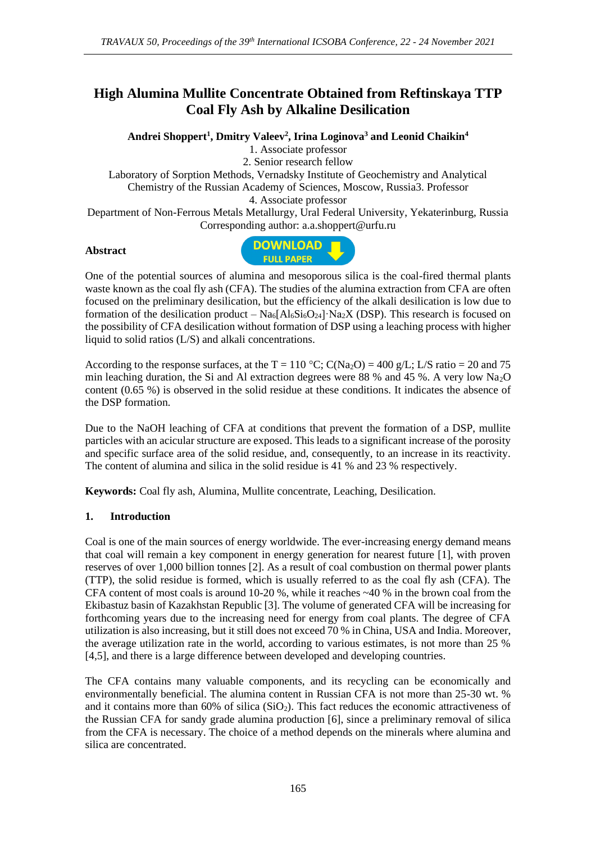# **High Alumina Mullite Concentrate Obtained from Reftinskaya TTP Coal Fly Ash by Alkaline Desilication**

**Andrei Shoppert<sup>1</sup> , Dmitry Valeev<sup>2</sup> , Irina Loginova<sup>3</sup> and Leonid Chaikin<sup>4</sup>**

1. Associate professor 2. Senior research fellow

Laboratory of Sorption Methods, Vernadsky Institute of Geochemistry and Analytical Chemistry of the Russian Academy of Sciences, Moscow, Russia3. Professor 4. Associate professor

Department of Non-Ferrous Metals Metallurgy, Ural Federal University, Yekaterinburg, Russia Corresponding author: a.a.shoppert@urfu.ru

#### **Abstract**



One of the potential sources of alumina and mesoporous silica is the coal-fired thermal plants waste known as the coal fly ash (CFA). The studies of the alumina extraction from CFA are often focused on the preliminary desilication, but the efficiency of the alkali desilication is low due to formation of the desilication product –  $\text{Na}_6\text{Al}_6\text{Si}_6\text{O}_{24}$   $\text{Na}_2X$  (DSP). This research is focused on the possibility of CFA desilication without formation of DSP using a leaching process with higher liquid to solid ratios (L/S) and alkali concentrations.

According to the response surfaces, at the T = 110 °C; C(Na<sub>2</sub>O) = 400 g/L; L/S ratio = 20 and 75 min leaching duration, the Si and Al extraction degrees were 88 % and 45 %. A very low  $Na<sub>2</sub>O$ content (0.65 %) is observed in the solid residue at these conditions. It indicates the absence of the DSP formation.

Due to the NaOH leaching of CFA at conditions that prevent the formation of a DSP, mullite particles with an acicular structure are exposed. This leads to a significant increase of the porosity and specific surface area of the solid residue, and, consequently, to an increase in its reactivity. The content of alumina and silica in the solid residue is 41 % and 23 % respectively.

**Keywords:** Coal fly ash, Alumina, Mullite concentrate, Leaching, Desilication.

## **1. Introduction**

Coal is one of the main sources of energy worldwide. The ever-increasing energy demand means that coal will remain a key component in energy generation for nearest future [1], with proven reserves of over 1,000 billion tonnes [2]. As a result of coal combustion on thermal power plants (TTP), the solid residue is formed, which is usually referred to as the coal fly ash (CFA). The CFA content of most coals is around 10-20 %, while it reaches ~40 % in the brown coal from the Ekibastuz basin of Kazakhstan Republic [3]. The volume of generated CFA will be increasing for forthcoming years due to the increasing need for energy from coal plants. The degree of CFA utilization is also increasing, but it still does not exceed 70 % in China, USA and India. Moreover, the average utilization rate in the world, according to various estimates, is not more than 25 % [4,5], and there is a large difference between developed and developing countries.

The CFA contains many valuable components, and its recycling can be economically and environmentally beneficial. The alumina content in Russian CFA is not more than 25-30 wt. % and it contains more than  $60\%$  of silica (SiO<sub>2</sub>). This fact reduces the economic attractiveness of the Russian CFA for sandy grade alumina production [6], since a preliminary removal of silica from the CFA is necessary. The choice of a method depends on the minerals where alumina and silica are concentrated.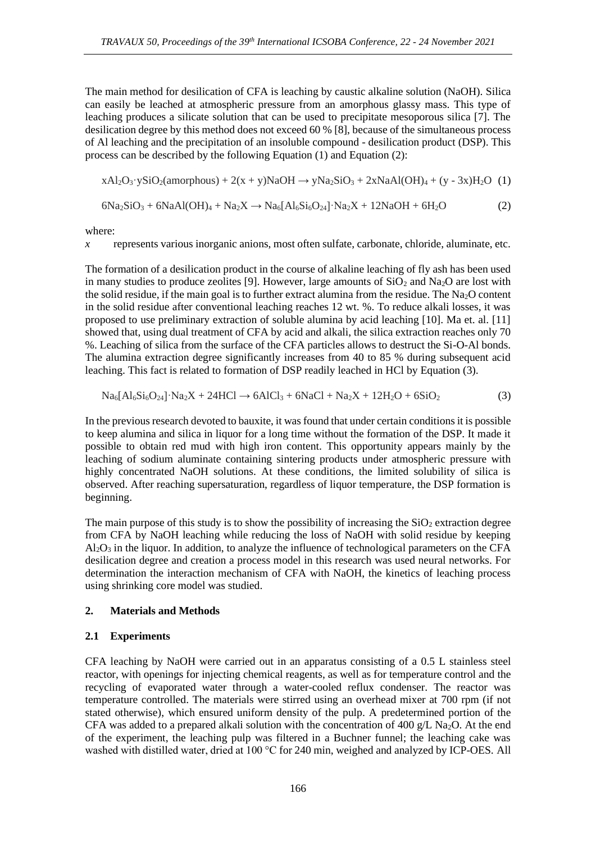The main method for desilication of CFA is leaching by caustic alkaline solution (NaOH). Silica can easily be leached at atmospheric pressure from an amorphous glassy mass. This type of leaching produces a silicate solution that can be used to precipitate mesoporous silica [7]. The desilication degree by this method does not exceed 60 % [8], because of the simultaneous process of Al leaching and the precipitation of an insoluble compound - desilication product (DSP). This process can be described by the following Equation (1) and Equation (2):

 $xAl<sub>2</sub>O<sub>3</sub>·ySiO<sub>2</sub>(amorphous) + 2(x + y)NaOH \rightarrow yNa<sub>2</sub>SiO<sub>3</sub> + 2xNaAl(OH)<sub>4</sub> + (y - 3x)H<sub>2</sub>O (1)$ 

$$
6Na_2SiO_3 + 6NaAl(OH)_4 + Na_2X \rightarrow Na_6[Al_6Si_6O_{24}] \cdot Na_2X + 12NaOH + 6H_2O
$$
 (2)

where:

*x* represents various inorganic anions, most often sulfate, carbonate, chloride, aluminate, etc.

The formation of a desilication product in the course of alkaline leaching of fly ash has been used in many studies to produce zeolites [9]. However, large amounts of  $SiO<sub>2</sub>$  and Na<sub>2</sub>O are lost with the solid residue, if the main goal is to further extract alumina from the residue. The Na<sub>2</sub>O content in the solid residue after conventional leaching reaches 12 wt. %. To reduce alkali losses, it was proposed to use preliminary extraction of soluble alumina by acid leaching [10]. Ma et. al. [11] showed that, using dual treatment of CFA by acid and alkali, the silica extraction reaches only 70 %. Leaching of silica from the surface of the CFA particles allows to destruct the Si-O-Al bonds. The alumina extraction degree significantly increases from 40 to 85 % during subsequent acid leaching. This fact is related to formation of DSP readily leached in HCl by Equation (3).

$$
Na6[Al6Si6O24]\cdot Na2X + 24HCl \rightarrow 6AlCl3 + 6NaCl + Na2X + 12H2O + 6SiO2
$$
 (3)

In the previous research devoted to bauxite, it was found that under certain conditions it is possible to keep alumina and silica in liquor for a long time without the formation of the DSP. It made it possible to obtain red mud with high iron content. This opportunity appears mainly by the leaching of sodium aluminate containing sintering products under atmospheric pressure with highly concentrated NaOH solutions. At these conditions, the limited solubility of silica is observed. After reaching supersaturation, regardless of liquor temperature, the DSP formation is beginning.

The main purpose of this study is to show the possibility of increasing the  $SiO<sub>2</sub>$  extraction degree from CFA by NaOH leaching while reducing the loss of NaOH with solid residue by keeping  $A<sub>2</sub>O<sub>3</sub>$  in the liquor. In addition, to analyze the influence of technological parameters on the CFA desilication degree and creation a process model in this research was used neural networks. For determination the interaction mechanism of CFA with NaOH, the kinetics of leaching process using shrinking core model was studied.

#### **2. Materials and Methods**

#### **2.1 Experiments**

CFA leaching by NaOH were carried out in an apparatus consisting of a 0.5 L stainless steel reactor, with openings for injecting chemical reagents, as well as for temperature control and the recycling of evaporated water through a water-cooled reflux condenser. The reactor was temperature controlled. The materials were stirred using an overhead mixer at 700 rpm (if not stated otherwise), which ensured uniform density of the pulp. A predetermined portion of the CFA was added to a prepared alkali solution with the concentration of 400 g/L Na<sub>2</sub>O. At the end of the experiment, the leaching pulp was filtered in a Buchner funnel; the leaching cake was washed with distilled water, dried at 100 °C for 240 min, weighed and analyzed by ICP-OES. All